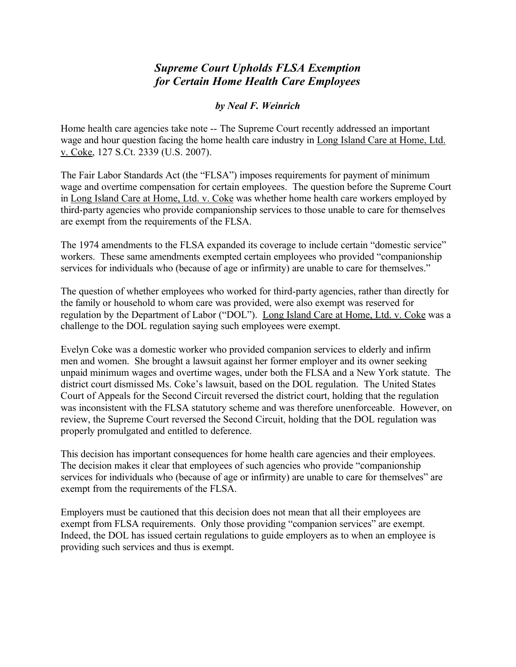## *Supreme Court Upholds FLSA Exemption for Certain Home Health Care Employees*

## *by Neal F. Weinrich*

Home health care agencies take note -- The Supreme Court recently addressed an important wage and hour question facing the home health care industry in Long Island Care at Home, Ltd. v. Coke, 127 S.Ct. 2339 (U.S. 2007).

The Fair Labor Standards Act (the "FLSA") imposes requirements for payment of minimum wage and overtime compensation for certain employees. The question before the Supreme Court in Long Island Care at Home, Ltd. v. Coke was whether home health care workers employed by third-party agencies who provide companionship services to those unable to care for themselves are exempt from the requirements of the FLSA.

The 1974 amendments to the FLSA expanded its coverage to include certain "domestic service" workers. These same amendments exempted certain employees who provided "companionship services for individuals who (because of age or infirmity) are unable to care for themselves."

The question of whether employees who worked for third-party agencies, rather than directly for the family or household to whom care was provided, were also exempt was reserved for regulation by the Department of Labor ("DOL"). Long Island Care at Home, Ltd. v. Coke was a challenge to the DOL regulation saying such employees were exempt.

Evelyn Coke was a domestic worker who provided companion services to elderly and infirm men and women. She brought a lawsuit against her former employer and its owner seeking unpaid minimum wages and overtime wages, under both the FLSA and a New York statute. The district court dismissed Ms. Coke's lawsuit, based on the DOL regulation. The United States Court of Appeals for the Second Circuit reversed the district court, holding that the regulation was inconsistent with the FLSA statutory scheme and was therefore unenforceable. However, on review, the Supreme Court reversed the Second Circuit, holding that the DOL regulation was properly promulgated and entitled to deference.

This decision has important consequences for home health care agencies and their employees. The decision makes it clear that employees of such agencies who provide "companionship services for individuals who (because of age or infirmity) are unable to care for themselves" are exempt from the requirements of the FLSA.

Employers must be cautioned that this decision does not mean that all their employees are exempt from FLSA requirements. Only those providing "companion services" are exempt. Indeed, the DOL has issued certain regulations to guide employers as to when an employee is providing such services and thus is exempt.